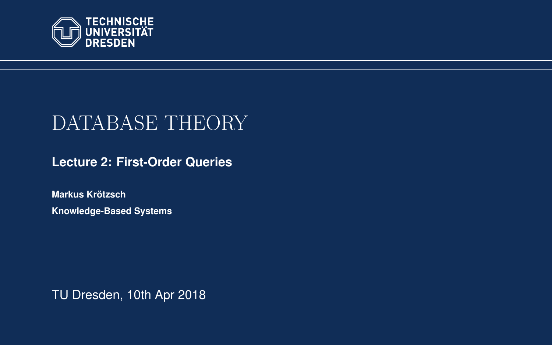<span id="page-0-0"></span>

# DATABASE THEORY

**[Lecture 2: First-Order Queries](https://iccl.inf.tu-dresden.de/web/Database_Theory_(SS2018))**

**[Markus Krotzsch](https://iccl.inf.tu-dresden.de/web/Markus_Kr%C3%B6tzsch/en) ¨ Knowledge-Based Systems**

TU Dresden, 10th Apr 2018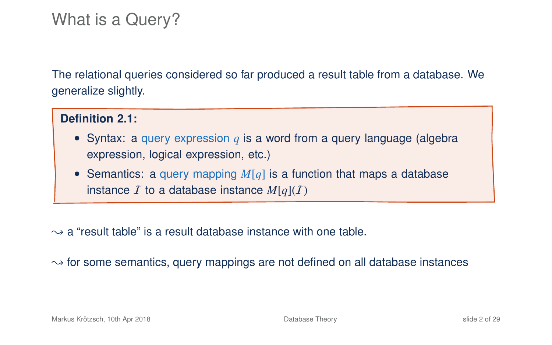## What is a Query?

The relational queries considered so far produced a result table from a database. We generalize slightly.

#### **Definition 2.1:**

- Syntax: a query expression  $q$  is a word from a query language (algebra expression, logical expression, etc.)
- Semantics: a query mapping *M*[*q*] is a function that maps a database instance  $I$  to a database instance  $M[q](I)$

 $\rightarrow$  a "result table" is a result database instance with one table.

 $\rightarrow$  for some semantics, query mappings are not defined on all database instances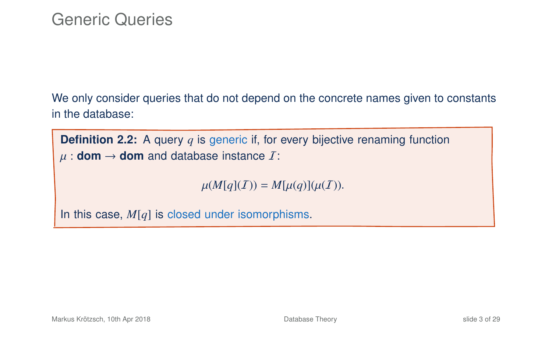We only consider queries that do not depend on the concrete names given to constants in the database:

**Definition 2.2:** A query *q* is generic if, for every bijective renaming function  $\mu$  : **dom**  $\rightarrow$  **dom** and database instance  $\overline{I}$ :

 $\mu(M[q](I)) = M[\mu(q)](\mu(I)).$ 

In this case, *M*[*q*] is closed under isomorphisms.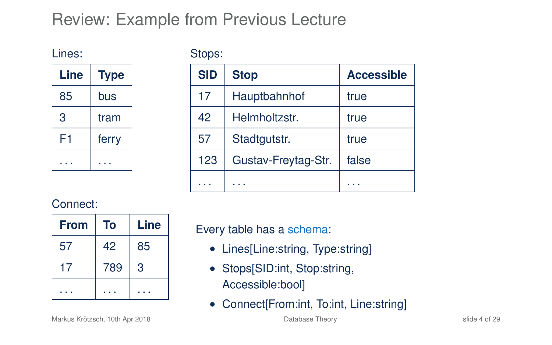## Review: Example from Previous Lecture

Lines:

Stops:

| Line | <b>Type</b> |
|------|-------------|
| 85   | bus         |
| 3    | tram        |
| F1   | ferry       |
|      |             |

| <b>SID</b> | <b>Stop</b>         | <b>Accessible</b> |
|------------|---------------------|-------------------|
| 17         | Hauptbahnhof        | true              |
| 42         | Helmholtzstr.       | true              |
| 57         | Stadtgutstr.        | true              |
| 123        | Gustav-Freytag-Str. | false             |
|            |                     |                   |

#### Connect:

| <b>From</b> | To  | Line |
|-------------|-----|------|
| 57          | 42  | 85   |
| 17          | 789 | 3    |
|             |     |      |

Every table has a schema:

- Lines[Line:string, Type:string]
- Stops[SID:int, Stop:string, Accessible:bool]
- Connect[From:int, To:int, Line:string]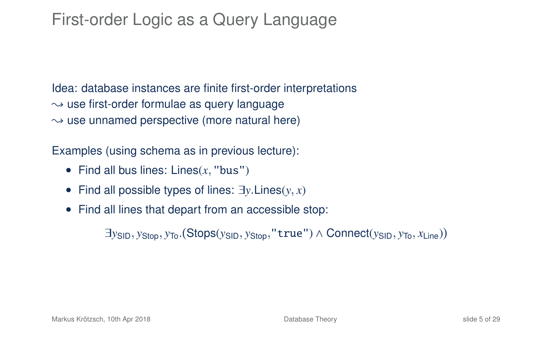## First-order Logic as a Query Language

Idea: database instances are finite first-order interpretations  $\rightarrow$  use first-order formulae as query language  $\rightarrow$  use unnamed perspective (more natural here)

Examples (using schema as in previous lecture):

- Find all bus lines: Lines(*x*, "bus")
- Find all possible types of lines: ∃*y*.Lines(*y*, *x*)
- Find all lines that depart from an accessible stop:

∃*y*SID, *y*Stop, *y*To. Stops(*y*SID, *y*Stop,"true") ∧ Connect(*y*SID, *y*To, *x*Line)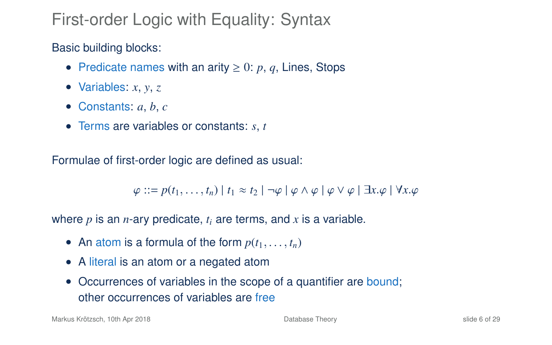## First-order Logic with Equality: Syntax

Basic building blocks:

- Predicate names with an arity  $\geq 0$ : p, q, Lines, Stops
- Variables: *x*, *y*, *z*
- Constants: *a*, *b*, *c*
- Terms are variables or constants: *s*, *t*

Formulae of first-order logic are defined as usual:

 $\varphi$  ::=  $p(t_1, \ldots, t_n)$  |  $t_1 \approx t_2$  |  $\neg \varphi \mid \varphi \wedge \varphi \mid \varphi \vee \varphi \mid \exists x. \varphi \mid \forall x. \varphi$ 

where  $p$  is an  $n$ -ary predicate,  $t_i$  are terms, and  $x$  is a variable.

- An atom is a formula of the form  $p(t_1, \ldots, t_n)$
- A literal is an atom or a negated atom
- Occurrences of variables in the scope of a quantifier are bound; other occurrences of variables are free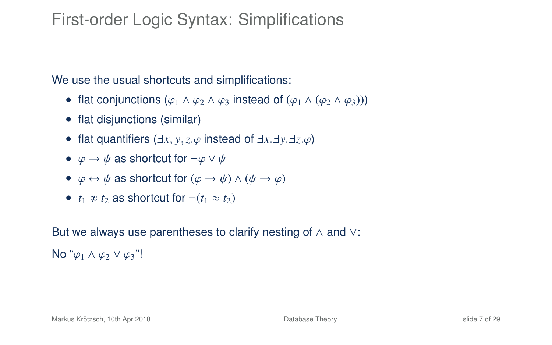## First-order Logic Syntax: Simplifications

We use the usual shortcuts and simplifications:

- flat conjunctions  $(\varphi_1 \wedge \varphi_2 \wedge \varphi_3)$  instead of  $(\varphi_1 \wedge (\varphi_2 \wedge \varphi_3))$
- flat disjunctions (similar)
- flat quantifiers  $(\exists x, y, z, \varphi)$  instead of  $\exists x \, \exists y \, \exists z, \varphi$
- $\varphi \to \psi$  as shortcut for  $\neg \varphi \lor \psi$
- $\varphi \leftrightarrow \psi$  as shortcut for  $(\varphi \rightarrow \psi) \land (\psi \rightarrow \varphi)$
- $t_1 \not\approx t_2$  as shortcut for  $\neg(t_1 \approx t_2)$

But we always use parentheses to clarify nesting of ∧ and ∨:

No " $\varphi_1 \wedge \varphi_2 \vee \varphi_3$ "!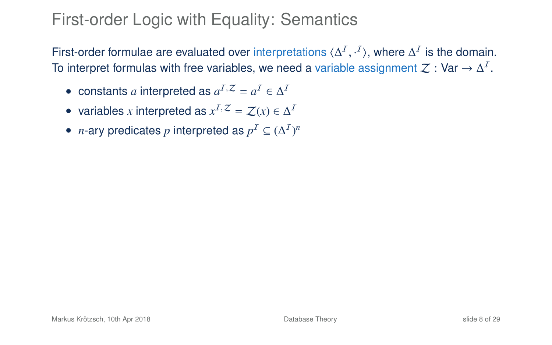## First-order Logic with Equality: Semantics

First-order formulae are evaluated over interpretations  $\langle \Delta^I, \cdot^I \rangle$ , where  $\Delta^I$  is the domain. To interpret formulas with free variables, we need a variable assignment  $\mathcal Z:$  Var  $\to\Delta^I.$ 

- constants *a* interpreted as  $a^I$ <sup> $Z$ </sup> =  $a^I \in \Delta^I$
- variables *x* interpreted as  $x^I$ <sup> $Z$ </sup> =  $Z(x) \in \Delta^I$
- *n*-ary predicates *p* interpreted as  $p^I \subseteq (\Delta^I)^n$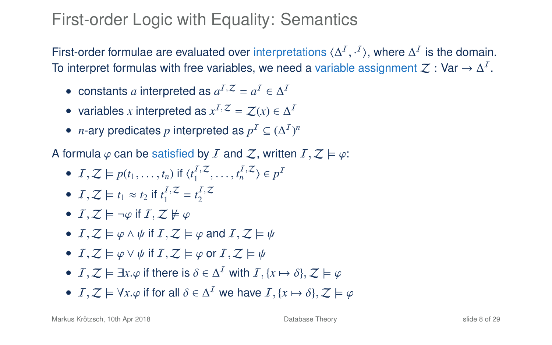## First-order Logic with Equality: Semantics

First-order formulae are evaluated over interpretations  $\langle \Delta^I, \cdot^I \rangle$ , where  $\Delta^I$  is the domain. To interpret formulas with free variables, we need a variable assignment  $\mathcal Z:$  Var  $\to\Delta^I.$ 

- constants *a* interpreted as  $a^I$ <sup> $Z$ </sup> =  $a^I \in \Delta^I$
- variables *x* interpreted as  $x^I$ <sup> $Z$ </sup> =  $Z(x) \in \Delta^I$
- *n*-ary predicates *p* interpreted as  $p^I \subseteq (\Delta^I)^n$

A formula  $\varphi$  can be satisfied by I and Z, written  $I, Z \models \varphi$ :

- $I, Z \models p(t_1, \ldots, t_n)$  if  $\langle t_1^{I,Z}, \ldots, t_n^{I,Z} \rangle \in p^I$
- $I, Z \models t_1 \approx t_2$  if  $t_1^{I, Z} = t_2^{I, Z}$
- $I, Z \models \neg \varphi$  if  $I, Z \not\models \varphi$
- $I, Z \models \varphi \land \psi$  if  $I, Z \models \varphi$  and  $I, Z \models \psi$
- $I, Z \models \varphi \vee \psi$  if  $I, Z \models \varphi$  or  $I, Z \models \psi$
- *I*, *Z*  $\models \exists$ *x*. $\varphi$  if there is  $\delta \in \Delta^{\mathcal{I}}$  with *I*, {*x*  $\mapsto \delta$ }, *Z*  $\models \varphi$
- $I, Z \models \forall x. \varphi$  if for all  $\delta \in \Delta^I$  we have  $I, \{x \mapsto \delta\}, Z \models \varphi$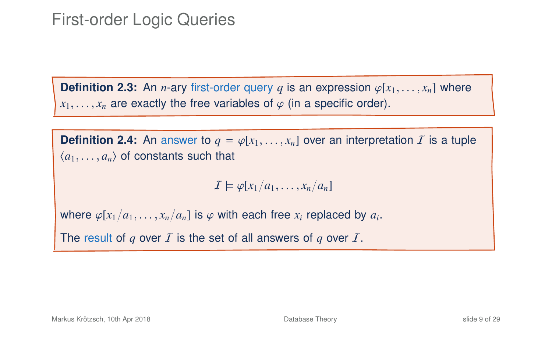### First-order Logic Queries

**Definition 2.3:** An *n*-ary first-order query *q* is an expression  $\varphi[x_1, \ldots, x_n]$  where  $x_1, \ldots, x_n$  are exactly the free variables of  $\varphi$  (in a specific order).

**Definition 2.4:** An answer to  $q = \varphi[x_1, \ldots, x_n]$  over an interpretation  $\mathcal{I}$  is a tuple  $\langle a_1, \ldots, a_n \rangle$  of constants such that

 $I \models \varphi[x_1/a_1, \ldots, x_n/a_n]$ 

where  $\varphi[x_1/a_1, \ldots, x_n/a_n]$  is  $\varphi$  with each free  $x_i$  replaced by  $a_i$ .

The result of  $q$  over  $I$  is the set of all answers of  $q$  over  $I$ .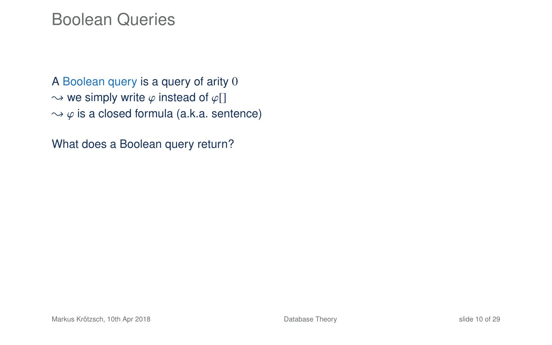#### Boolean Queries

A Boolean query is a query of arity 0  $\rightarrow$  we simply write  $\varphi$  instead of  $\varphi$ []  $\rightarrow \varphi$  is a closed formula (a.k.a. sentence)

What does a Boolean query return?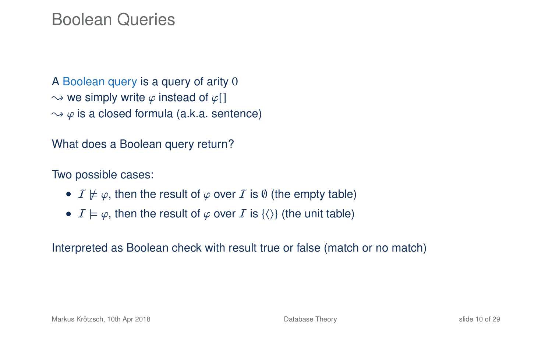#### Boolean Queries

A Boolean query is a query of arity 0  $\rightarrow$  we simply write  $\varphi$  instead of  $\varphi$ []  $\rightarrow \varphi$  is a closed formula (a.k.a. sentence)

What does a Boolean query return?

Two possible cases:

- $I \not\models \varphi$ , then the result of  $\varphi$  over I is  $\emptyset$  (the empty table)
- $I \models \varphi$ , then the result of  $\varphi$  over I is  $\{\langle\rangle\}$  (the unit table)

Interpreted as Boolean check with result true or false (match or no match)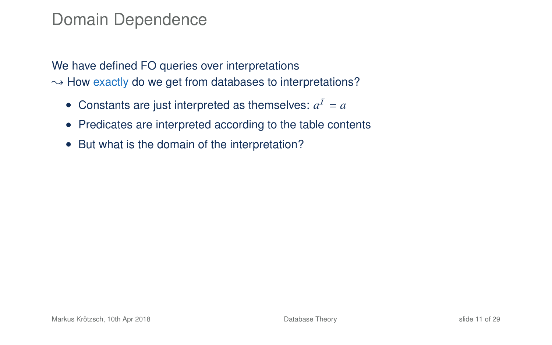#### Domain Dependence

We have defined FO queries over interpretations  $\rightarrow$  How exactly do we get from databases to interpretations?

- Constants are just interpreted as themselves:  $a^I = a$
- Predicates are interpreted according to the table contents
- But what is the domain of the interpretation?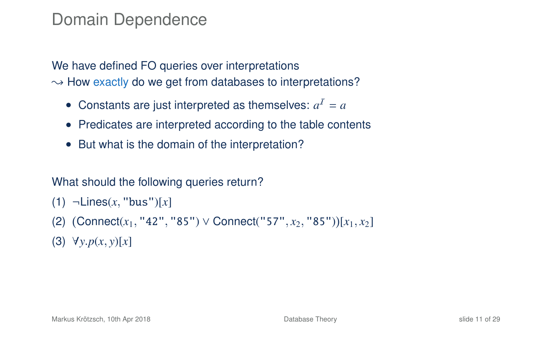#### Domain Dependence

We have defined FO queries over interpretations  $\rightarrow$  How exactly do we get from databases to interpretations?

- Constants are just interpreted as themselves:  $a^I = a$
- Predicates are interpreted according to the table contents
- But what is the domain of the interpretation?

#### What should the following queries return?

```
(1) ¬Lines(x, "bus")[x]
```
- (2) Connect(*x*1, "42", "85") ∨ Connect("57", *x*2, "85") [*x*1, *x*2]
- (3) ∀*y*.*p*(*x*, *y*)[*x*]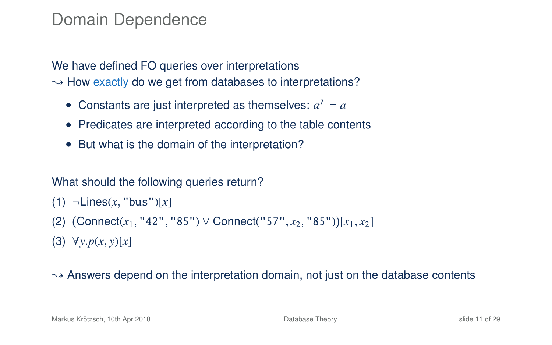#### Domain Dependence

We have defined FO queries over interpretations  $\rightarrow$  How exactly do we get from databases to interpretations?

- Constants are just interpreted as themselves:  $a^I = a$
- Predicates are interpreted according to the table contents
- But what is the domain of the interpretation?

#### What should the following queries return?

```
(1) ¬Lines(x, "bus")[x]
```
- (2) Connect(*x*1, "42", "85") ∨ Connect("57", *x*2, "85") [*x*1, *x*2]
- (3) ∀*y*.*p*(*x*, *y*)[*x*]

#### $\rightarrow$  Answers depend on the interpretation domain, not just on the database contents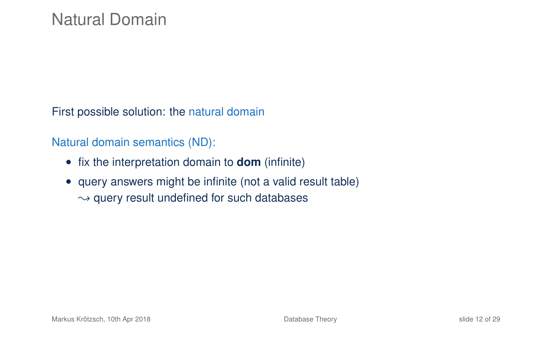First possible solution: the natural domain

Natural domain semantics (ND):

- fix the interpretation domain to **dom** (infinite)
- query answers might be infinite (not a valid result table)  $\rightarrow$  query result undefined for such databases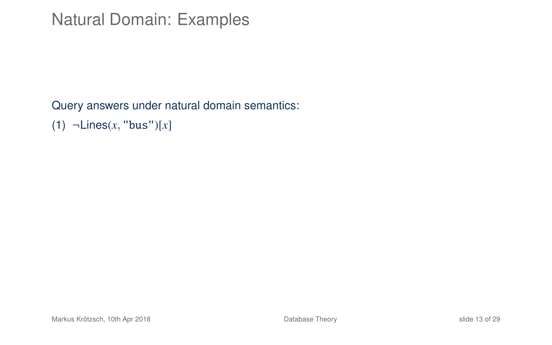Query answers under natural domain semantics:

(1) ¬Lines(*x*, "bus")[*x*]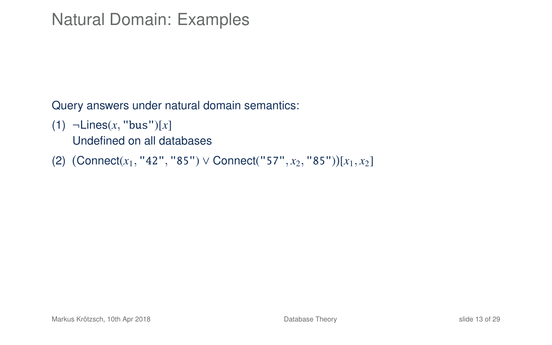Query answers under natural domain semantics:

(1) ¬Lines(*x*, "bus")[*x*]

Undefined on all databases

(2) Connect(*x*1, "42", "85") ∨ Connect("57", *x*2, "85") [*x*1, *x*2]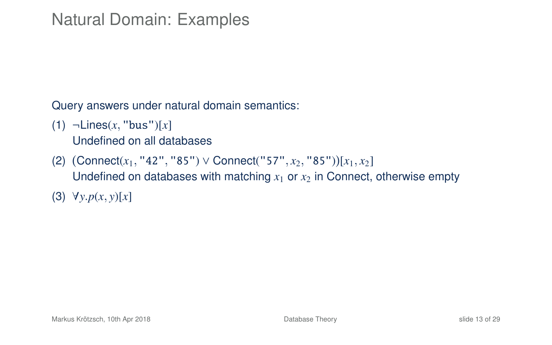Query answers under natural domain semantics:

(1) ¬Lines(*x*, "bus")[*x*]

Undefined on all databases

- (2) Connect(*x*1, "42", "85") ∨ Connect("57", *x*2, "85") [*x*1, *x*2] Undefined on databases with matching  $x_1$  or  $x_2$  in Connect, otherwise empty
- (3) ∀*y*.*p*(*x*, *y*)[*x*]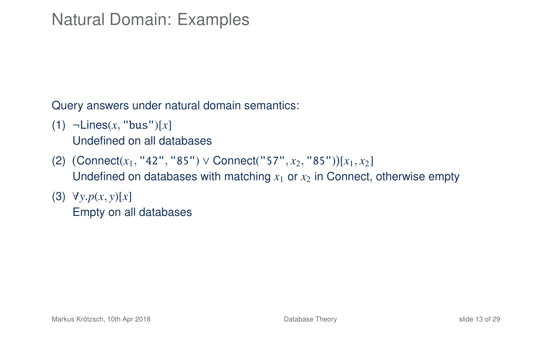Query answers under natural domain semantics:

(1) ¬Lines(*x*, "bus")[*x*]

Undefined on all databases

- (2) Connect(*x*1, "42", "85") ∨ Connect("57", *x*2, "85") [*x*1, *x*2] Undefined on databases with matching  $x_1$  or  $x_2$  in Connect, otherwise empty
- (3) ∀*y*.*p*(*x*, *y*)[*x*] Empty on all databases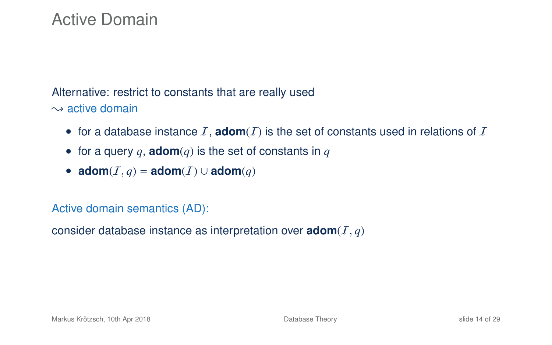### Active Domain

#### Alternative: restrict to constants that are really used

 $\rightarrow$  active domain

- for a database instance  $I$ , **adom** $(I)$  is the set of constants used in relations of  $I$
- for a query  $q$ , **adom** $(q)$  is the set of constants in  $q$
- $\text{adom}(I, q) = \text{adom}(I) \cup \text{adom}(q)$

#### Active domain semantics (AD):

consider database instance as interpretation over  $\mathbf{adom}(I, q)$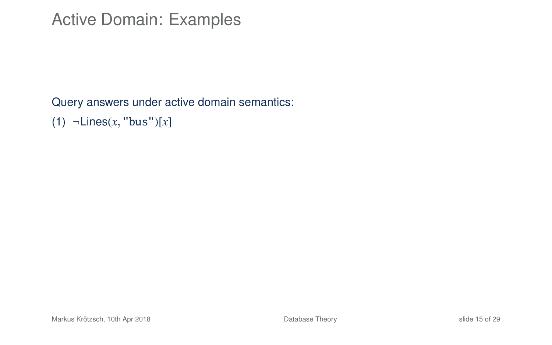Query answers under active domain semantics:

(1) ¬Lines(*x*, "bus")[*x*]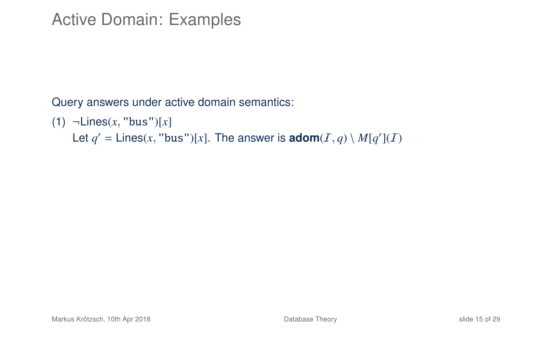Query answers under active domain semantics:

(1) ¬Lines(*x*, "bus")[*x*]

Let  $q' =$  Lines(x, "bus")[x]. The answer is **adom**( $I, q$ ) \  $M[q'](I)$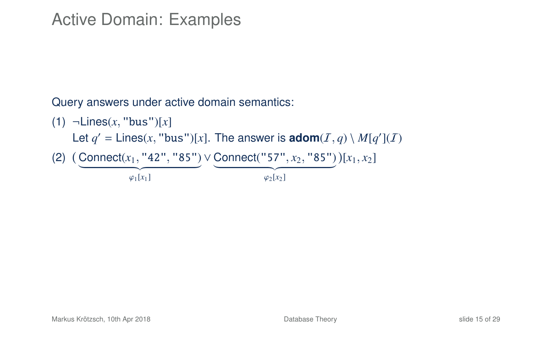Query answers under active domain semantics:

(1) ¬Lines(*x*, "bus")[*x*] Let  $q' =$  Lines(x, "bus")[x]. The answer is **adom**( $I, q$ ) \  $M[q'](I)$ (2) Connect(*x*1, "42", "85") ∨ Connect("57", *x*2, "85") [*x*1, *x*2]  $\overbrace{\varphi_1[x_1]}$  $\sqrt{\frac{\varphi_2[x_2]}{x_1}}$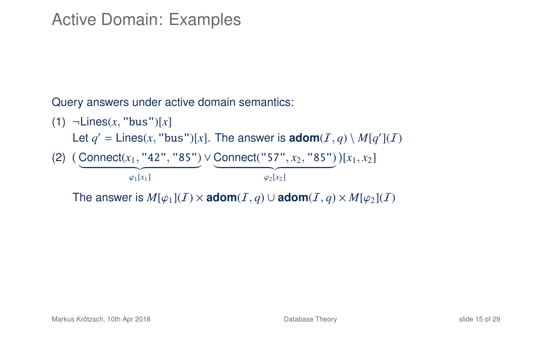Query answers under active domain semantics:

(1) ¬Lines(*x*, "bus")[*x*] Let  $q' =$  Lines(x, "bus")[x]. The answer is **adom**( $I, q$ ) \  $M[q'](I)$ (2) Connect(*x*1, "42", "85") ∨ Connect("57", *x*2, "85") [*x*1, *x*2]  $\overbrace{\varphi_1[x_1]}$  $\sqrt{\frac{\varphi_2[x_2]}{x_1}}$ The answer is  $M[\varphi_1](I) \times \text{adom}(I, q) \cup \text{adom}(I, q) \times M[\varphi_2](I)$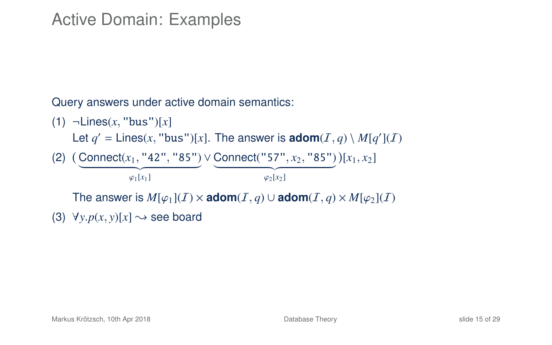Query answers under active domain semantics:

(1) ¬Lines(*x*, "bus")[*x*] Let  $q' =$  Lines(x, "bus")[x]. The answer is **adom**( $I, q$ ) \  $M[q'](I)$ (2) Connect(*x*1, "42", "85") ∨ Connect("57", *x*2, "85") [*x*1, *x*2]  $\overbrace{\varphi_1[x_1]}$  $\sqrt{\frac{\varphi_2[x_2]}{x_1}}$ The answer is  $M[\varphi_1](I) \times \text{adom}(I, q) \cup \text{adom}(I, q) \times M[\varphi_2](I)$ (3)  $\forall y \ p(x, y)[x] \rightarrow$  see board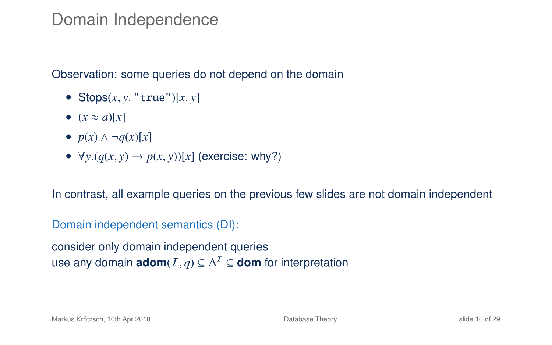#### Domain Independence

Observation: some queries do not depend on the domain

- Stops $(x, y, "true")$ [ $x, y$ ]
- $(x \approx a)[x]$
- $p(x) \wedge \neg q(x)[x]$
- $\forall y \ (q(x, y) \rightarrow p(x, y))[x]$  (exercise: why?)

In contrast, all example queries on the previous few slides are not domain independent

#### Domain independent semantics (DI):

consider only domain independent queries use any domain  $\mathsf{adom}(I,q) \subseteq \Delta^I \subseteq \mathsf{dom}$  for interpretation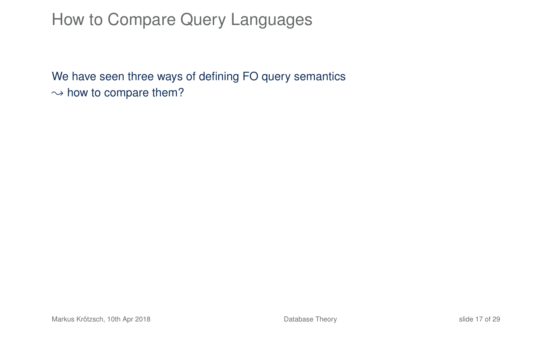## How to Compare Query Languages

We have seen three ways of defining FO query semantics  $\rightarrow$  how to compare them?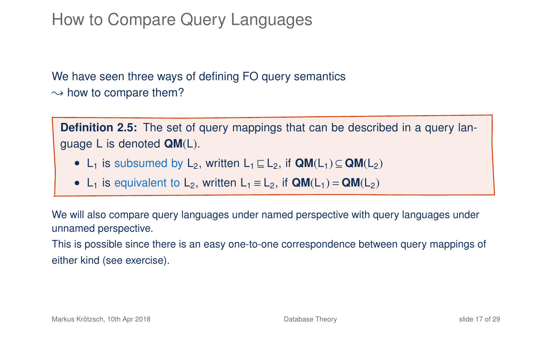## How to Compare Query Languages

We have seen three ways of defining FO query semantics  $\rightarrow$  how to compare them?

**Definition 2.5:** The set of query mappings that can be described in a query language L is denoted **QM**(L).

- L<sub>1</sub> is subsumed by L<sub>2</sub>, written L<sub>1</sub>  $\sqsubset$  L<sub>2</sub>, if  $QM(L_1) \subset QM(L_2)$
- L<sub>1</sub> is equivalent to L<sub>2</sub>, written L<sub>1</sub>  $\equiv$  L<sub>2</sub>, if  $QM(L_1) = QM(L_2)$

We will also compare query languages under named perspective with query languages under unnamed perspective.

This is possible since there is an easy one-to-one correspondence between query mappings of either kind (see exercise).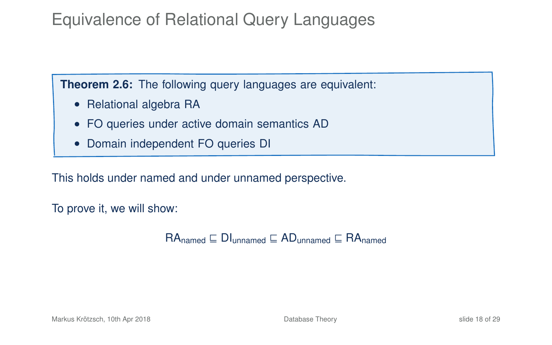## Equivalence of Relational Query Languages

**Theorem 2.6:** The following query languages are equivalent:

- Relational algebra RA
- FO queries under active domain semantics AD
- Domain independent FO queries DI

This holds under named and under unnamed perspective.

To prove it, we will show:

 $RA_{\text{named}} \sqsubseteq \text{DI}_{\text{unnamed}} \sqsubseteq \text{AD}_{\text{unnamed}} \sqsubseteq \text{RA}_{\text{named}}$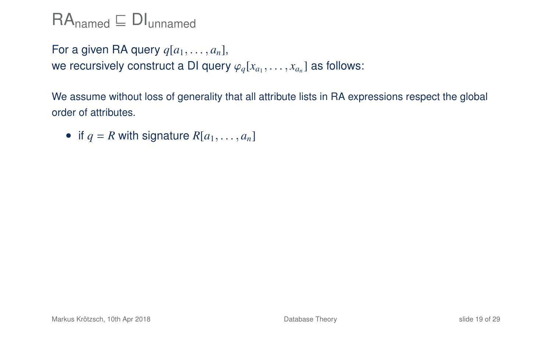For a given RA query  $q[a_1, \ldots, a_n]$ , we recursively construct a DI query  $\varphi_q[x_{a_1}, \ldots, x_{a_n}]$  as follows:

We assume without loss of generality that all attribute lists in RA expressions respect the global order of attributes.

• if  $q = R$  with signature  $R[a_1, \ldots, a_n]$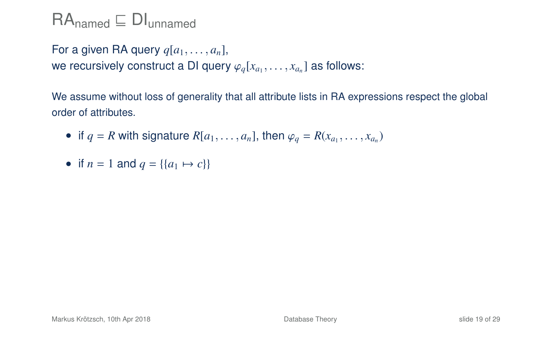For a given RA query  $q[a_1, \ldots, a_n]$ , we recursively construct a DI query  $\varphi_q[x_{a_1}, \ldots, x_{a_n}]$  as follows:

We assume without loss of generality that all attribute lists in RA expressions respect the global order of attributes.

- if  $q = R$  with signature  $R[a_1, \ldots, a_n]$ , then  $\varphi_q = R(x_{a_1}, \ldots, x_{a_n})$
- if  $n = 1$  and  $q = \{(a_1 \mapsto c)\}\)$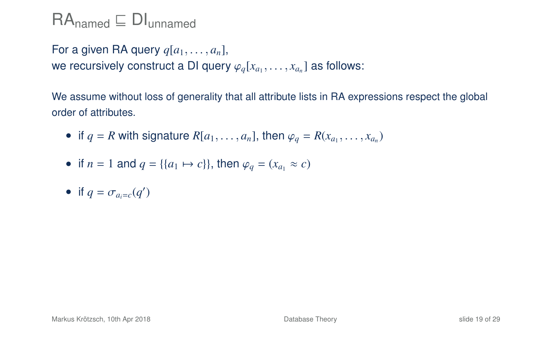For a given RA query *<sup>q</sup>*[*a*1, . . . , *<sup>a</sup>n*], we recursively construct a DI query  $\varphi_q[x_{a_1}, \ldots, x_{a_n}]$  as follows:

We assume without loss of generality that all attribute lists in RA expressions respect the global order of attributes.

- if  $q = R$  with signature  $R[a_1, \ldots, a_n]$ , then  $\varphi_q = R(x_{a_1}, \ldots, x_{a_n})$
- if  $n = 1$  and  $q = \{ \{a_1 \mapsto c \} \}$ , then  $\varphi_q = (x_{q_1} \approx c)$
- if  $q = \sigma_{a_i=c}(q')$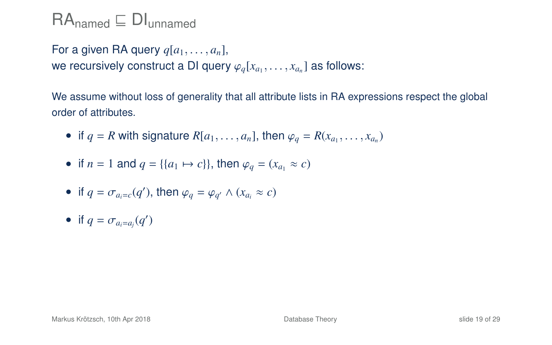For a given RA query  $q[a_1, \ldots, a_n]$ , we recursively construct a DI query  $\varphi_q[x_{a_1}, \ldots, x_{a_n}]$  as follows:

We assume without loss of generality that all attribute lists in RA expressions respect the global order of attributes.

- if  $q = R$  with signature  $R[a_1, \ldots, a_n]$ , then  $\varphi_q = R(x_{a_1}, \ldots, x_{a_n})$
- if  $n = 1$  and  $q = \{ \{a_1 \mapsto c \} \}$ , then  $\varphi_q = (x_{q_1} \approx c)$
- if  $q = \sigma_{a_i=c}(q')$ , then  $\varphi_q = \varphi_{q'} \wedge (x_{a_i} \approx c)$
- if  $q = \sigma_{a_i=a_j}(q')$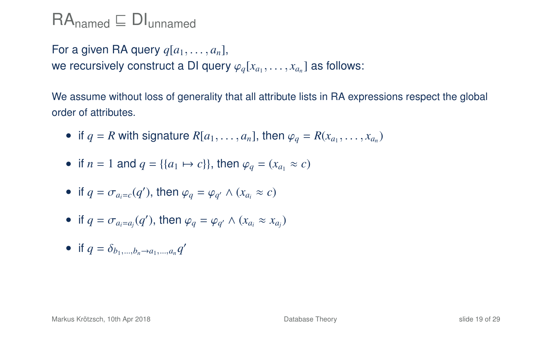For a given RA query *<sup>q</sup>*[*a*1, . . . , *<sup>a</sup>n*], we recursively construct a DI query  $\varphi_q[x_{a_1}, \ldots, x_{a_n}]$  as follows:

We assume without loss of generality that all attribute lists in RA expressions respect the global order of attributes.

- if  $q = R$  with signature  $R[a_1, \ldots, a_n]$ , then  $\varphi_q = R(x_{a_1}, \ldots, x_{a_n})$
- if  $n = 1$  and  $q = \{ \{a_1 \mapsto c \} \}$ , then  $\varphi_q = (x_{q_1} \approx c)$

• if 
$$
q = \sigma_{a_i = c}(q')
$$
, then  $\varphi_q = \varphi_{q'} \wedge (x_{a_i} \approx c)$ 

• if 
$$
q = \sigma_{a_i = a_j}(q')
$$
, then  $\varphi_q = \varphi_{q'} \wedge (x_{a_i} \approx x_{a_j})$ 

• if  $q = \delta_{b_1,...,b_n \to a_1,...,a_n} q'$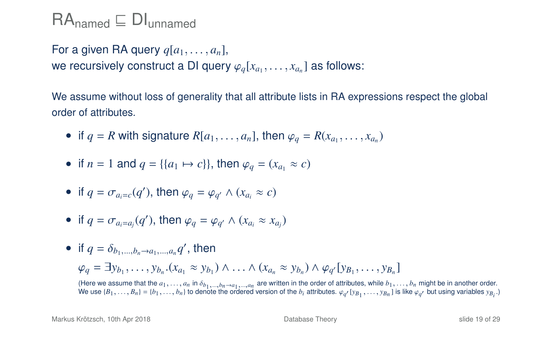For a given RA query  $q[a_1, \ldots, a_n]$ , we recursively construct a DI query  $\varphi_q[x_{a_1}, \ldots, x_{a_n}]$  as follows:

We assume without loss of generality that all attribute lists in RA expressions respect the global order of attributes.

- if  $q = R$  with signature  $R[a_1, \ldots, a_n]$ , then  $\varphi_q = R(x_{a_1}, \ldots, x_{a_n})$
- if *n* = 1 and *q* = {{*a*<sub>1</sub>  $\leftrightarrow$  *c*}}, then  $\varphi_q = (x_{a_1} \approx c)$

• if 
$$
q = \sigma_{a_i=c}(q')
$$
, then  $\varphi_q = \varphi_{q'} \wedge (x_{a_i} \approx c)$ 

• if 
$$
q = \sigma_{a_i = a_j}(q')
$$
, then  $\varphi_q = \varphi_{q'} \wedge (x_{a_i} \approx x_{a_j})$ 

• if  $q = \delta_{b_1,...,b_n \to a_1,...,a_n} q'$ , then  $\varphi_q = \exists y_{b_1}, \ldots, y_{b_n} . (x_{a_1} \approx y_{b_1}) \wedge \ldots \wedge (x_{a_n} \approx y_{b_n}) \wedge \varphi_{q'} [y_{b_1}, \ldots, y_{b_n}]$ 

(Here we assume that the  $a_1, \ldots, a_n$  in  $\delta_{b_1, \ldots, b_n}$  and  $\ldots$  are written in the order of attributes, while  $b_1, \ldots, b_n$  might be in another order.<br>We use  $\{B_1, \ldots, B_n\} = \{b_1, \ldots, b_n\}$  to denote the ordered versio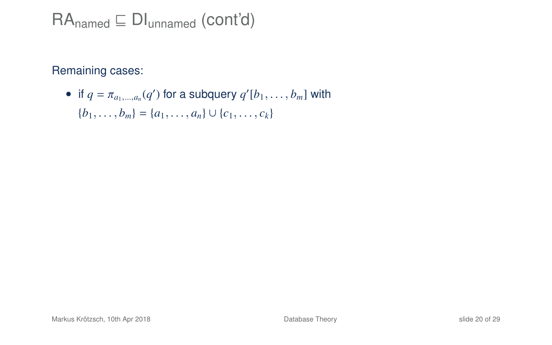$RA_{\text{named}} \subseteq DI_{\text{unnamed}}$  (cont'd)

Remaining cases:

• if  $q = \pi_{a_1,\dots,a_n}(q')$  for a subquery  $q'[b_1,\dots,b_m]$  with  ${b_1, \ldots, b_m} = {a_1, \ldots, a_n} \cup {c_1, \ldots, c_k}$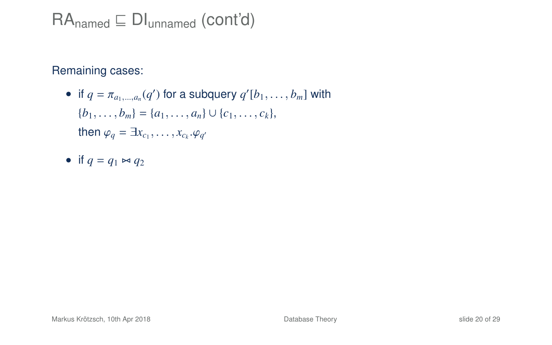$RA_{\text{named}} \subseteq DI_{\text{unnamed}} \text{ (cont'd)}$ 

Remaining cases:

- if  $q = \pi_{a_1,\dots,a_n}(q')$  for a subquery  $q'[b_1,\dots,b_m]$  with  ${b_1, \ldots, b_m} = {a_1, \ldots, a_n} \cup {c_1, \ldots, c_k},$ then  $\varphi_q = \exists x_{c_1}, \ldots, x_{c_k} \ldotp \varphi_{q'}$
- if  $q = q_1 \Join q_2$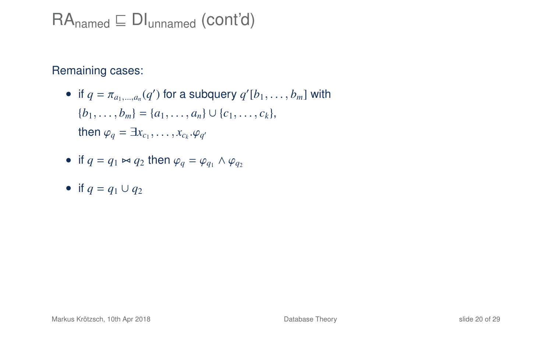$RA_{\text{named}} \subseteq DI_{\text{unnamed}} \text{ (cont'd)}$ 

Remaining cases:

• if  $q = \pi_{a_1,\dots,a_n}(q')$  for a subquery  $q'[b_1,\dots,b_m]$  with  ${b_1, \ldots, b_m} = {a_1, \ldots, a_n} \cup {c_1, \ldots, c_k},$ then  $\varphi_q = \exists x_{c_1}, \ldots, x_{c_k} \ldotp \varphi_{q'}$ 

• if 
$$
q = q_1 \bowtie q_2
$$
 then  $\varphi_q = \varphi_{q_1} \land \varphi_{q_2}$ 

• if  $q = q_1 \cup q_2$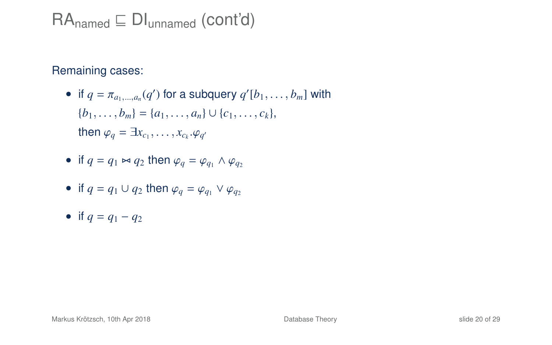$RA_{\text{named}} \subseteq DI_{\text{unnamed}} \text{ (cont'd)}$ 

Remaining cases:

• if  $q = \pi_{a_1,\dots,a_n}(q')$  for a subquery  $q'[b_1,\dots,b_m]$  with  ${b_1, \ldots, b_m} = {a_1, \ldots, a_n} \cup {c_1, \ldots, c_k},$ then  $\varphi_q = \exists x_{c_1}, \ldots, x_{c_k} \ldotp \varphi_{q'}$ 

• if 
$$
q = q_1 \bowtie q_2
$$
 then  $\varphi_q = \varphi_{q_1} \land \varphi_{q_2}$ 

- if  $q = q_1 \cup q_2$  then  $\varphi_q = \varphi_{q_1} \vee \varphi_{q_2}$
- if  $q = q_1 q_2$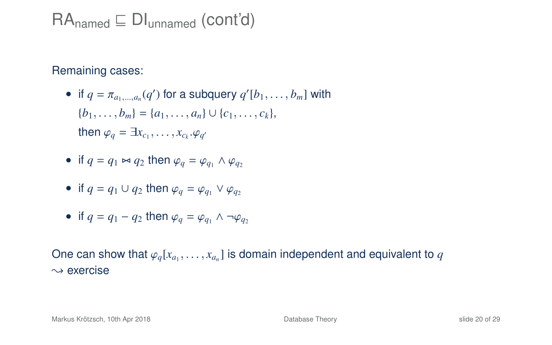$RA_{\text{named}} \subseteq \text{DI}_{\text{unnamed}}$  (cont'd)

Remaining cases:

- if  $q = \pi_{a_1,\dots,a_n}(q')$  for a subquery  $q'[b_1,\dots,b_m]$  with  ${b_1, \ldots, b_m} = {a_1, \ldots, a_n} \cup {c_1, \ldots, c_k},$ then  $\varphi_q = \exists x_{c_1}, \ldots, x_{c_k} \ldotp \varphi_{q'}$
- if  $q = q_1 \bowtie q_2$  then  $\varphi_q = \varphi_q$ ,  $\wedge \varphi_q$
- if  $q = q_1 \cup q_2$  then  $\varphi_q = \varphi_{q_1} \vee \varphi_{q_2}$
- if  $q = q_1 q_2$  then  $\varphi_q = \varphi_q$ ,  $\wedge \neg \varphi_q$

One can show that  $\varphi_q[x_{a_1}, \ldots, x_{a_n}]$  is domain independent and equivalent to  $q$ <br> $\ldots$  oversing  $\sim$  exercise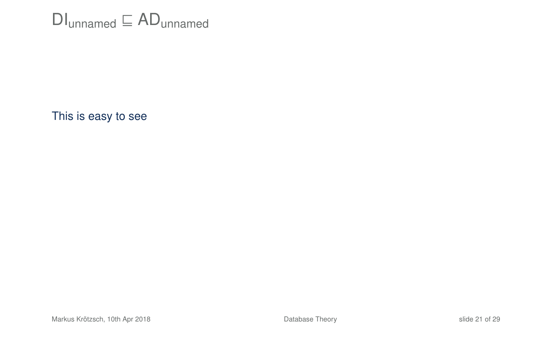## $DI<sub>unnamed</sub> \sqsubseteq AD<sub>unnamed</sub>$

This is easy to see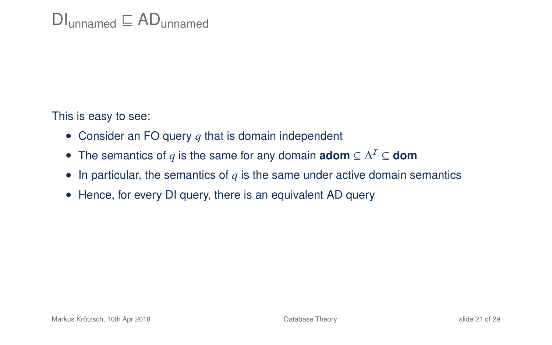This is easy to see:

- Consider an FO query *q* that is domain independent
- The semantics of *q* is the same for any domain **adom** ⊆ ∆ <sup>I</sup> ⊆ **dom**
- In particular, the semantics of  $q$  is the same under active domain semantics
- Hence, for every DI query, there is an equivalent AD query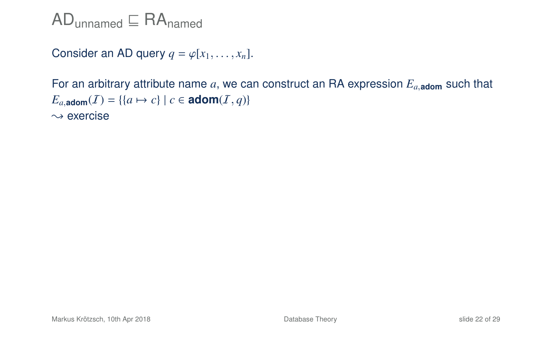$AD$ <sub>unnamed</sub>  $\subseteq$  RA<sub>named</sub>

Consider an AD query  $q = \varphi[x_1, \ldots, x_n]$ .

For an arbitrary attribute name *a*, we can construct an RA expression *E<sup>a</sup>*,**adom** such that  $E_{a,\text{adom}}(I) = \{(a \mapsto c) \mid c \in \text{adom}(I, q)\}$  $\rightsquigarrow$  exercise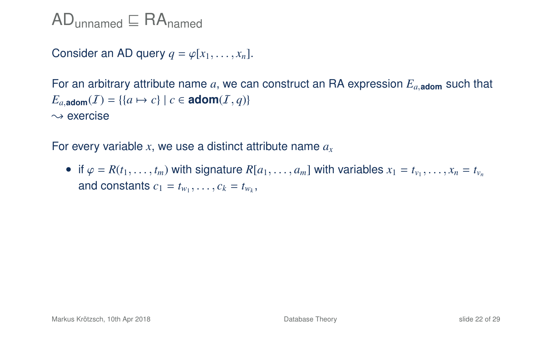$AD$ <sub>unnamed</sub>  $\subseteq$  RA<sub>named</sub>

Consider an AD query  $q = \varphi[x_1, \ldots, x_n]$ .

For an arbitrary attribute name *a*, we can construct an RA expression *E<sup>a</sup>*,**adom** such that  $E_{a,\text{adom}}(I) = \{ \{a \mapsto c\} \mid c \in \text{adom}(I,q) \}$  $\rightsquigarrow$  exercise

For every variable *x*, we use a distinct attribute name *a<sup>x</sup>*

• if  $\varphi = R(t_1, \ldots, t_m)$  with signature  $R[a_1, \ldots, a_m]$  with variables  $x_1 = t_{v_1}, \ldots, x_n = t_{v_n}$ and constants  $c_1 = t_{w_1}, \ldots, c_k = t_{w_k}$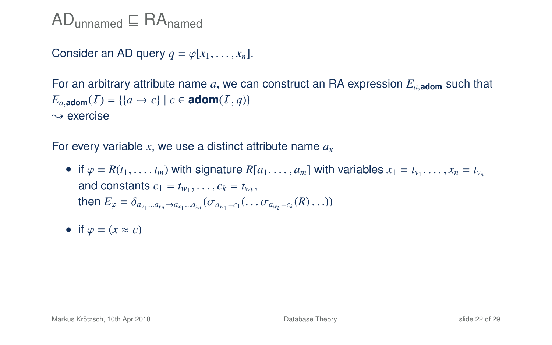$AD$ <sub>unnamed</sub>  $\subseteq$  RA<sub>named</sub>

Consider an AD query  $q = \varphi[x_1, \ldots, x_n]$ .

For an arbitrary attribute name *a*, we can construct an RA expression *E<sup>a</sup>*,**adom** such that  $E_a$ , adom $(I) = \{ \{a \mapsto c \} \mid c \in \mathbf{adom}(I, q) \}$  $\rightsquigarrow$  exercise

For every variable *x*, we use a distinct attribute name *a<sup>x</sup>*

- if  $\varphi = R(t_1, \ldots, t_m)$  with signature  $R[a_1, \ldots, a_m]$  with variables  $x_1 = t_{v_1}, \ldots, x_n = t_{v_n}$ and constants  $c_1 = t_{w_1}, \ldots, c_k = t_{w_k}$ ,<br>then  $F = \delta$ then  $E_{\varphi} = \delta_{a_{v_1}...a_{v_n} \to a_{x_1}...a_{x_n}} (\sigma_{a_{w_1} = c_1}(\ldots \sigma_{a_{w_k} = c_k}(R) \ldots))$
- if  $\varphi = (x \approx c)$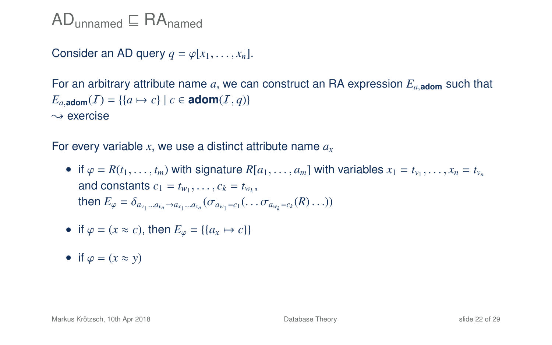$AD_{unnamed} \nightharpoonup RA_{named}$ 

Consider an AD query  $q = \varphi[x_1, \ldots, x_n]$ .

For an arbitrary attribute name *a*, we can construct an RA expression *E<sup>a</sup>*,**adom** such that  $E_a$ , adom $(I) = \{ \{a \mapsto c \} \mid c \in \mathbf{adom}(I, q) \}$  $\rightsquigarrow$  exercise

For every variable *x*, we use a distinct attribute name *a<sup>x</sup>*

- if  $\varphi = R(t_1, \ldots, t_m)$  with signature  $R[a_1, \ldots, a_m]$  with variables  $x_1 = t_{v_1}, \ldots, x_n = t_{v_n}$ and constants  $c_1 = t_{w_1}, \ldots, c_k = t_{w_k}$ ,<br>then  $F = \delta$ then  $E_{\varphi} = \delta_{a_{v_1}...a_{v_n} \to a_{x_1}...a_{x_n}} (\sigma_{a_{w_1} = c_1}(\ldots \sigma_{a_{w_k} = c_k}(R) \ldots))$
- if  $\varphi = (x \approx c)$ , then  $E_{\varphi} = \{ \{a_x \mapsto c \} \}$
- if  $\varphi = (x \approx y)$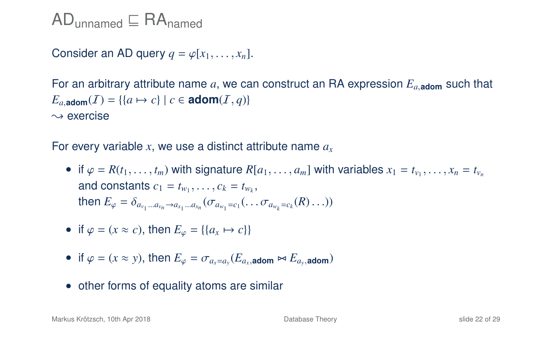$AD_{unnamed} \nightharpoonup RA_{named}$ 

Consider an AD query  $q = \varphi[x_1, \ldots, x_n]$ .

For an arbitrary attribute name *a*, we can construct an RA expression *E<sup>a</sup>*,**adom** such that  $E_{a,\text{adom}}(I) = \{ \{a \mapsto c\} \mid c \in \text{adom}(I,q) \}$  $\rightsquigarrow$  exercise

For every variable *x*, we use a distinct attribute name *a<sup>x</sup>*

- if  $\varphi = R(t_1, \ldots, t_m)$  with signature  $R[a_1, \ldots, a_m]$  with variables  $x_1 = t_{v_1}, \ldots, x_n = t_{v_n}$ and constants  $c_1 = t_{w_1}, \ldots, c_k = t_{w_k}$ ,<br>then  $F = \delta$ then  $E_{\varphi} = \delta_{a_{v_1}...a_{v_n} \to a_{x_1}...a_{x_n}} (\sigma_{a_{w_1} = c_1}(\ldots \sigma_{a_{w_k} = c_k}(R) \ldots))$
- if  $\varphi = (x \approx c)$ , then  $E_{\varphi} = \{ \{a_x \mapsto c \} \}$
- if  $\varphi = (x \approx y)$ , then  $E_{\varphi} = \sigma_{a_x = a_y}(E_{a_x, \text{atom}} \bowtie E_{a_y, \text{atom}})$
- other forms of equality atoms are similar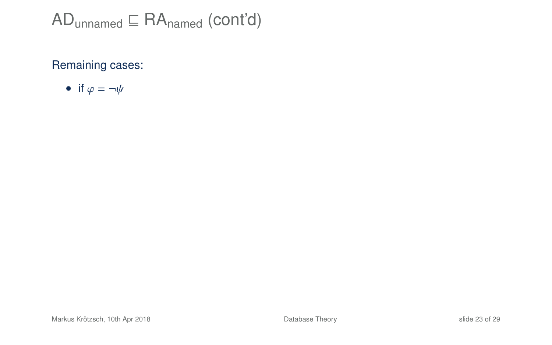#### Remaining cases:

• if  $\varphi = \neg \psi$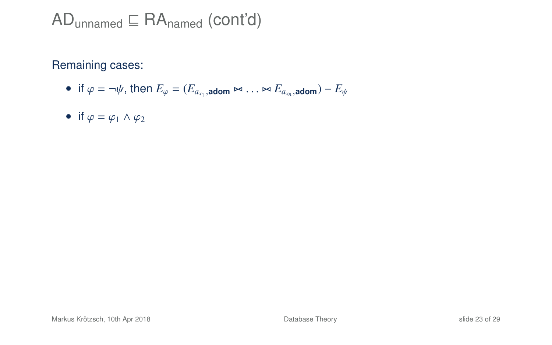Remaining cases:

- if  $\varphi = \neg \psi$ , then  $E_{\varphi} = (E_{a_{x_1}, \text{adom}} \bowtie \dots \bowtie E_{a_{x_n}, \text{adom}}) E_{\psi}$
- if  $\varphi = \varphi_1 \wedge \varphi_2$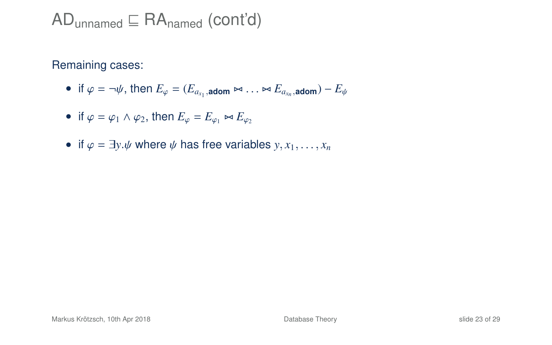Remaining cases:

- if  $\varphi = \neg \psi$ , then  $E_{\varphi} = (E_{a_{x_1}, \text{adom}} \bowtie \dots \bowtie E_{a_{x_n}, \text{adom}}) E_{\psi}$
- if  $\varphi = \varphi_1 \wedge \varphi_2$ , then  $E_{\varphi} = E_{\varphi_1} \bowtie E_{\varphi_2}$
- if  $\varphi = \exists y \psi$  where  $\psi$  has free variables  $y, x_1, \ldots, x_n$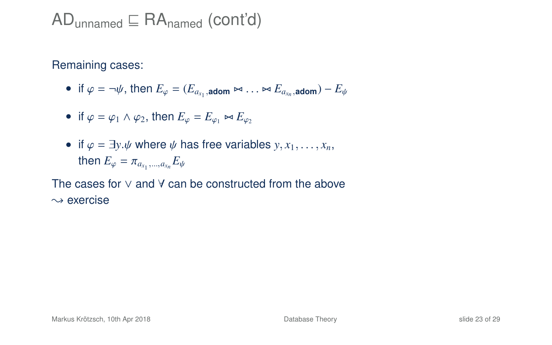$AD$ <sub>unnamed</sub>  $\sqsubseteq$  RA<sub>named</sub> (cont'd)

Remaining cases:

• if  $\varphi = \neg \psi$ , then  $E_{\varphi} = (E_{a_{x_1}, \text{adom}} \bowtie \dots \bowtie E_{a_{x_n}, \text{adom}}) - E_{\psi}$ 

• if 
$$
\varphi = \varphi_1 \wedge \varphi_2
$$
, then  $E_{\varphi} = E_{\varphi_1} \bowtie E_{\varphi_2}$ 

• if  $\varphi = \exists y \psi$  where  $\psi$  has free variables  $y, x_1, \ldots, x_n$ , then  $E_{\varphi} = \pi_{a_{x_1},...,a_{x_n}} E_{\psi}$ 

The cases for ∨ and ∀ can be constructed from the above  $\rightsquigarrow$  exercise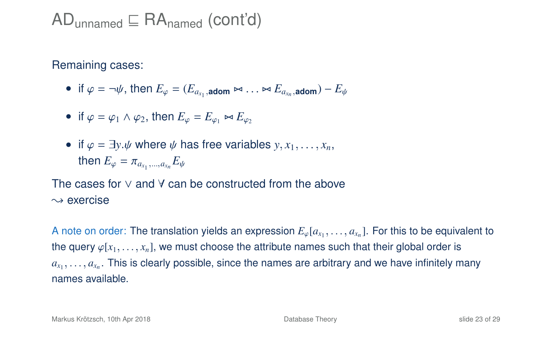Remaining cases:

- if  $\varphi = \neg \psi$ , then  $E_{\varphi} = (E_{a_{x_1}, \text{adom}} \bowtie \dots \bowtie E_{a_{x_n}, \text{adom}}) E_{\psi}$
- if  $\varphi = \varphi_1 \wedge \varphi_2$ , then  $E_{\varphi} = E_{\varphi_1} \bowtie E_{\varphi_2}$
- if  $\varphi = \exists y \psi$  where  $\psi$  has free variables  $y, x_1, \ldots, x_n$ , then  $E_{\varphi} = \pi_{a_{x_1},...,a_{x_n}} E_{\psi}$

The cases for ∨ and ∀ can be constructed from the above  $\rightsquigarrow$  exercise

A note on order: The translation yields an expression  $E_{\varphi}[a_{x_1}, \ldots, a_{x_n}]$ . For this to be equivalent to the survey of the structure of the structure of the structure of the structure of the structure of the structure the query  $\varphi[x_1, \ldots, x_n]$ , we must choose the attribute names such that their global order is *ax*1 , . . . , *<sup>a</sup><sup>x</sup><sup>n</sup>* . This is clearly possible, since the names are arbitrary and we have infinitely many names available.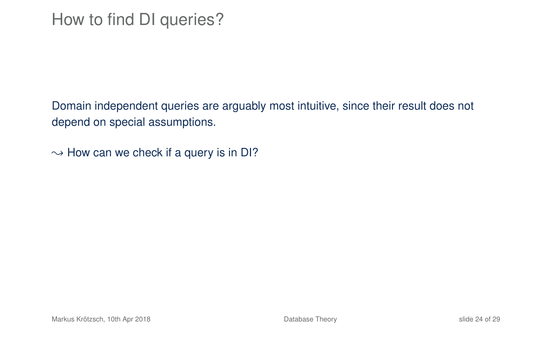Domain independent queries are arguably most intuitive, since their result does not depend on special assumptions.

 $\rightarrow$  How can we check if a query is in DI?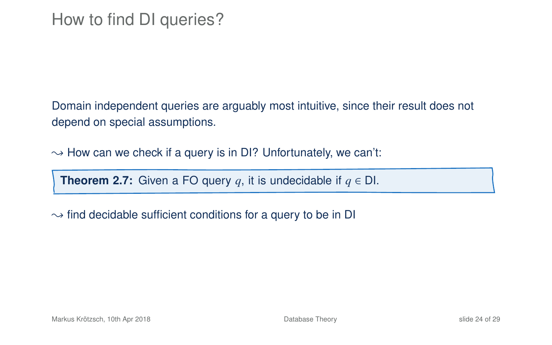Domain independent queries are arguably most intuitive, since their result does not depend on special assumptions.

 $\rightarrow$  How can we check if a query is in DI? Unfortunately, we can't:

**Theorem 2.7:** Given a FO query  $q$ , it is undecidable if  $q \in$  DI.

 $\rightarrow$  find decidable sufficient conditions for a query to be in DI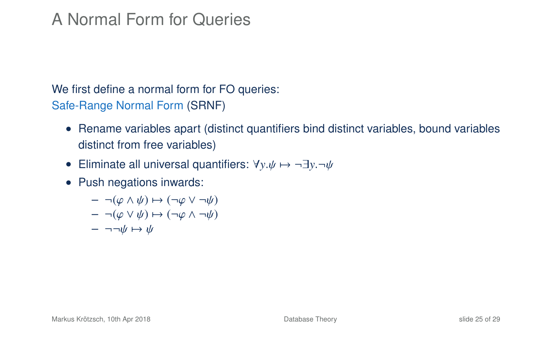## A Normal Form for Queries

We first define a normal form for FO queries: Safe-Range Normal Form (SRNF)

- Rename variables apart (distinct quantifiers bind distinct variables, bound variables distinct from free variables)
- Eliminate all universal quantifiers:  $\forall y \psi \mapsto \neg \exists y \neg \psi$
- Push negations inwards:
	- $\neg (\varphi \land \psi) \mapsto (\neg \varphi \lor \neg \psi)$
	- $\neg (\varphi \lor \psi) \mapsto (\neg \varphi \land \neg \psi)$
	- $\neg \neg \psi \mapsto \psi$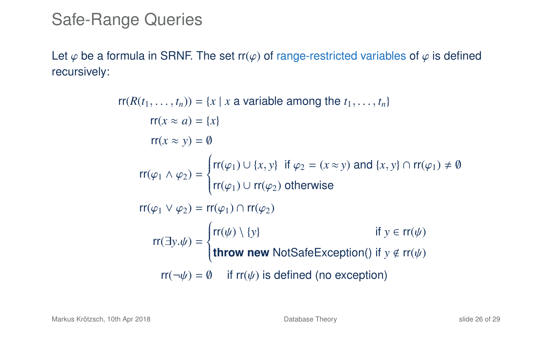## Safe-Range Queries

Let  $\varphi$  be a formula in SRNF. The set rr( $\varphi$ ) of range-restricted variables of  $\varphi$  is defined recursively:

> $rr(R(t_1, \ldots, t_n)) = \{x \mid x \text{ a variable among the } t_1, \ldots, t_n\}$  $rr(x \approx a) = \{x\}$  $rr(x \approx v) = \emptyset$  $rr(\varphi_1 \wedge \varphi_2) =$  $\Bigg\{$  $\overline{\mathcal{L}}$ rr( $\varphi_1$ )  $\cup$  {*x*, *y*} if  $\varphi_2 = (x \approx y)$  and {*x*, *y*}  $\cap$  rr( $\varphi_1$ )  $\neq \emptyset$  $\mathsf{rr}(\varphi_1) \cup \mathsf{rr}(\varphi_2)$  otherwise  $rr(\varphi_1 \vee \varphi_2) = rr(\varphi_1) \cap rr(\varphi_2)$ rr( $\exists y.\psi$ ) =  $\begin{cases} \n\end{cases}$  $\overline{\mathcal{L}}$  $rr(\psi) \setminus \{y\}$  if  $y \in rr(\psi)$ **throw new** NotSafeException() if *y* ∉ rr( $\psi$ )  $rr(\neg \psi) = \emptyset$  if  $rr(\psi)$  is defined (no exception)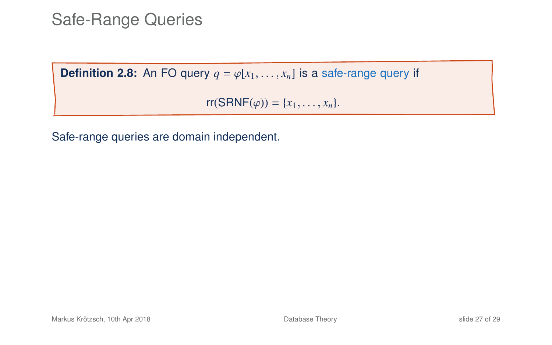Safe-Range Queries

**Definition 2.8:** An FO query  $q = \varphi[x_1, \ldots, x_n]$  is a safe-range query if

 $rr(SRNF(\varphi)) = \{x_1, ..., x_n\}.$ 

Safe-range queries are domain independent.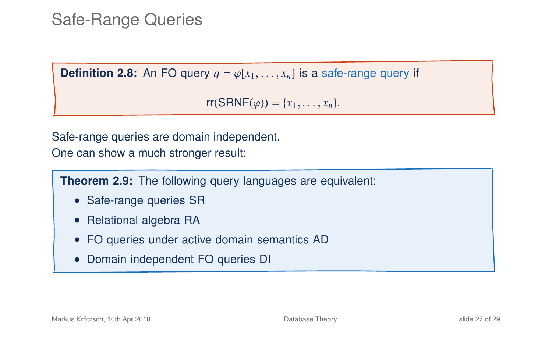## Safe-Range Queries

**Definition 2.8:** An FO query  $q = \varphi[x_1, \ldots, x_n]$  is a safe-range query if

 $rr(SRNF(\varphi)) = \{x_1, \ldots, x_n\}.$ 

Safe-range queries are domain independent. One can show a much stronger result:

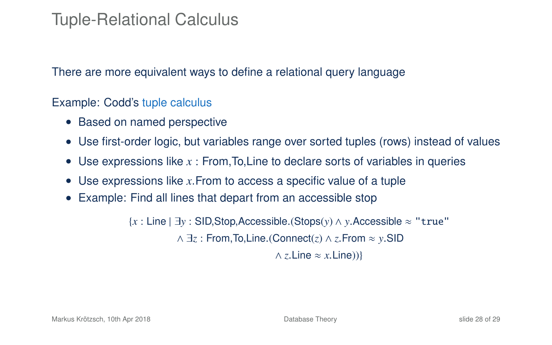## Tuple-Relational Calculus

There are more equivalent ways to define a relational query language

Example: Codd's tuple calculus

- Based on named perspective
- Use first-order logic, but variables range over sorted tuples (rows) instead of values
- Use expressions like *x* : From,To,Line to declare sorts of variables in queries
- Use expressions like *x*.From to access a specific value of a tuple
- Example: Find all lines that depart from an accessible stop

{*<sup>x</sup>* : Line | ∃*<sup>y</sup>* : SID,Stop,Accessible.(Stops(*y*) <sup>∧</sup> *<sup>y</sup>*.Accessible <sup>≈</sup> "true" ∧ ∃*<sup>z</sup>* : From,To,Line.(Connect(*z*) <sup>∧</sup> *<sup>z</sup>*.From <sup>≈</sup> *<sup>y</sup>*.SID  $\land$  *z*. Line  $\approx$  *x*. Line))}